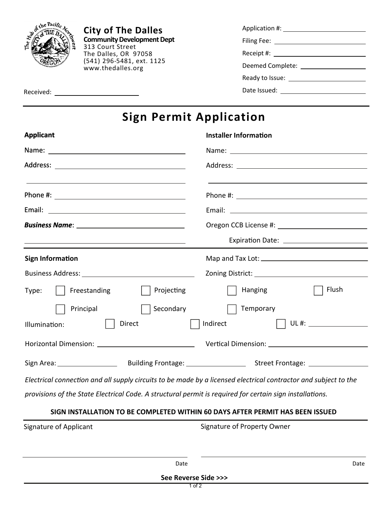

**City of The Dalles Community Development Dept**  313 Court Street The Dalles, OR 97058 (541) 296-5481, ext. 1125 www.thedalles.org

| Application #:                                                                                                                                                                                                                 |  |
|--------------------------------------------------------------------------------------------------------------------------------------------------------------------------------------------------------------------------------|--|
| Filing Fee:                                                                                                                                                                                                                    |  |
|                                                                                                                                                                                                                                |  |
| Deemed Complete:                                                                                                                                                                                                               |  |
| Ready to Issue: \\square \\square \square \square \square \square \square \square \square \square \square \square \square \square \square \square \square \square \square \square \square \square \square \square \square \squ |  |
| Date Issued:                                                                                                                                                                                                                   |  |

## **Sign Permit Application**

| <b>Applicant</b>                                                                                                | <b>Installer Information</b>                                                  |
|-----------------------------------------------------------------------------------------------------------------|-------------------------------------------------------------------------------|
|                                                                                                                 |                                                                               |
|                                                                                                                 |                                                                               |
|                                                                                                                 |                                                                               |
|                                                                                                                 |                                                                               |
|                                                                                                                 |                                                                               |
|                                                                                                                 |                                                                               |
| <b>Sign Information</b>                                                                                         |                                                                               |
|                                                                                                                 |                                                                               |
| Projecting<br>Type:     Freestanding                                                                            | Flush<br>Hanging                                                              |
| Principal<br>Secondary                                                                                          | $\vert$ Temporary                                                             |
| Direct<br>Illumination:                                                                                         | Indirect                                                                      |
|                                                                                                                 |                                                                               |
|                                                                                                                 |                                                                               |
| Electrical connection and all supply circuits to be made by a licensed electrical contractor and subject to the |                                                                               |
| provisions of the State Electrical Code. A structural permit is required for certain sign installations.        |                                                                               |
|                                                                                                                 | SIGN INSTALLATION TO BE COMPLETED WITHIN 60 DAYS AFTER PERMIT HAS BEEN ISSUED |

|                        | See Reverse Side >>> |                             |      |
|------------------------|----------------------|-----------------------------|------|
|                        | Date                 |                             | Date |
| Signature of Applicant |                      | Signature of Property Owner |      |
|                        |                      |                             |      |